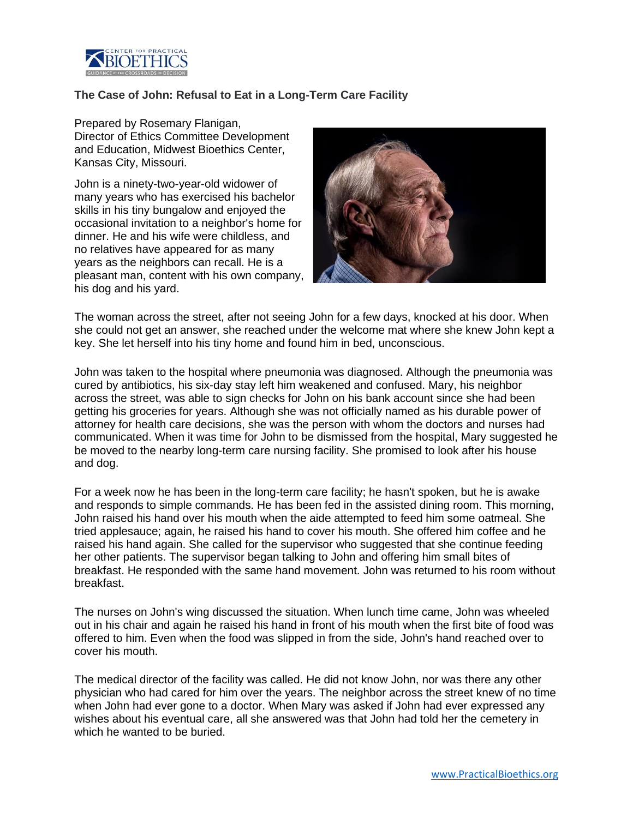

## **The Case of John: Refusal to Eat in a Long-Term Care Facility**

Prepared by Rosemary Flanigan, Director of Ethics Committee Development and Education, Midwest Bioethics Center, Kansas City, Missouri.

John is a ninety-two-year-old widower of many years who has exercised his bachelor skills in his tiny bungalow and enjoyed the occasional invitation to a neighbor's home for dinner. He and his wife were childless, and no relatives have appeared for as many years as the neighbors can recall. He is a pleasant man, content with his own company, his dog and his yard.



The woman across the street, after not seeing John for a few days, knocked at his door. When she could not get an answer, she reached under the welcome mat where she knew John kept a key. She let herself into his tiny home and found him in bed, unconscious.

John was taken to the hospital where pneumonia was diagnosed. Although the pneumonia was cured by antibiotics, his six-day stay left him weakened and confused. Mary, his neighbor across the street, was able to sign checks for John on his bank account since she had been getting his groceries for years. Although she was not officially named as his durable power of attorney for health care decisions, she was the person with whom the doctors and nurses had communicated. When it was time for John to be dismissed from the hospital, Mary suggested he be moved to the nearby long-term care nursing facility. She promised to look after his house and dog.

For a week now he has been in the long-term care facility; he hasn't spoken, but he is awake and responds to simple commands. He has been fed in the assisted dining room. This morning, John raised his hand over his mouth when the aide attempted to feed him some oatmeal. She tried applesauce; again, he raised his hand to cover his mouth. She offered him coffee and he raised his hand again. She called for the supervisor who suggested that she continue feeding her other patients. The supervisor began talking to John and offering him small bites of breakfast. He responded with the same hand movement. John was returned to his room without breakfast.

The nurses on John's wing discussed the situation. When lunch time came, John was wheeled out in his chair and again he raised his hand in front of his mouth when the first bite of food was offered to him. Even when the food was slipped in from the side, John's hand reached over to cover his mouth.

The medical director of the facility was called. He did not know John, nor was there any other physician who had cared for him over the years. The neighbor across the street knew of no time when John had ever gone to a doctor. When Mary was asked if John had ever expressed any wishes about his eventual care, all she answered was that John had told her the cemetery in which he wanted to be buried.